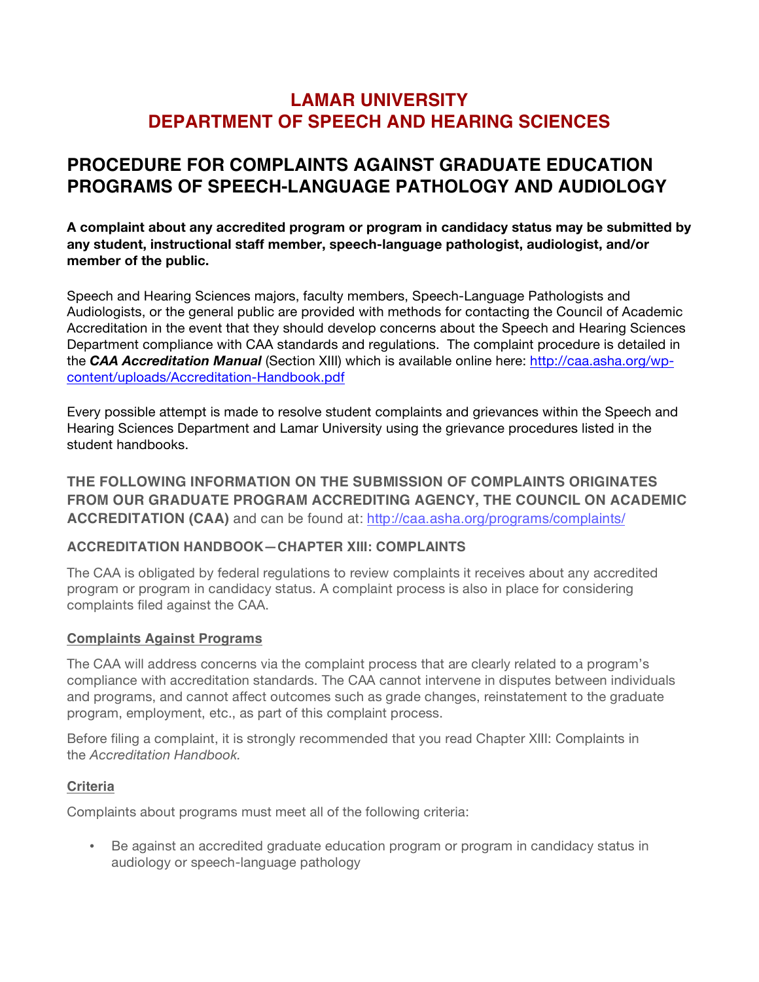# **LAMAR UNIVERSITY DEPARTMENT OF SPEECH AND HEARING SCIENCES**

# **PROCEDURE FOR COMPLAINTS AGAINST GRADUATE EDUCATION PROGRAMS OF SPEECH-LANGUAGE PATHOLOGY AND AUDIOLOGY**

**A complaint about any accredited program or program in candidacy status may be submitted by any student, instructional staff member, speech-language pathologist, audiologist, and/or member of the public.**

Speech and Hearing Sciences majors, faculty members, Speech-Language Pathologists and Audiologists, or the general public are provided with methods for contacting the Council of Academic Accreditation in the event that they should develop concerns about the Speech and Hearing Sciences Department compliance with CAA standards and regulations. The complaint procedure is detailed in the *CAA Accreditation Manual* (Section XIII) which is available online here: http://caa.asha.org/wpcontent/uploads/Accreditation-Handbook.pdf

Every possible attempt is made to resolve student complaints and grievances within the Speech and Hearing Sciences Department and Lamar University using the grievance procedures listed in the student handbooks.

**THE FOLLOWING INFORMATION ON THE SUBMISSION OF COMPLAINTS ORIGINATES FROM OUR GRADUATE PROGRAM ACCREDITING AGENCY, THE COUNCIL ON ACADEMIC ACCREDITATION (CAA)** and can be found at: http://caa.asha.org/programs/complaints/

#### **ACCREDITATION HANDBOOK—CHAPTER XIII: COMPLAINTS**

The CAA is obligated by federal regulations to review complaints it receives about any accredited program or program in candidacy status. A complaint process is also in place for considering complaints filed against the CAA.

#### **Complaints Against Programs**

The CAA will address concerns via the complaint process that are clearly related to a program's compliance with accreditation standards. The CAA cannot intervene in disputes between individuals and programs, and cannot affect outcomes such as grade changes, reinstatement to the graduate program, employment, etc., as part of this complaint process.

Before filing a complaint, it is strongly recommended that you read Chapter XIII: Complaints in the *Accreditation Handbook.*

#### **Criteria**

Complaints about programs must meet all of the following criteria:

• Be against an accredited graduate education program or program in candidacy status in audiology or speech-language pathology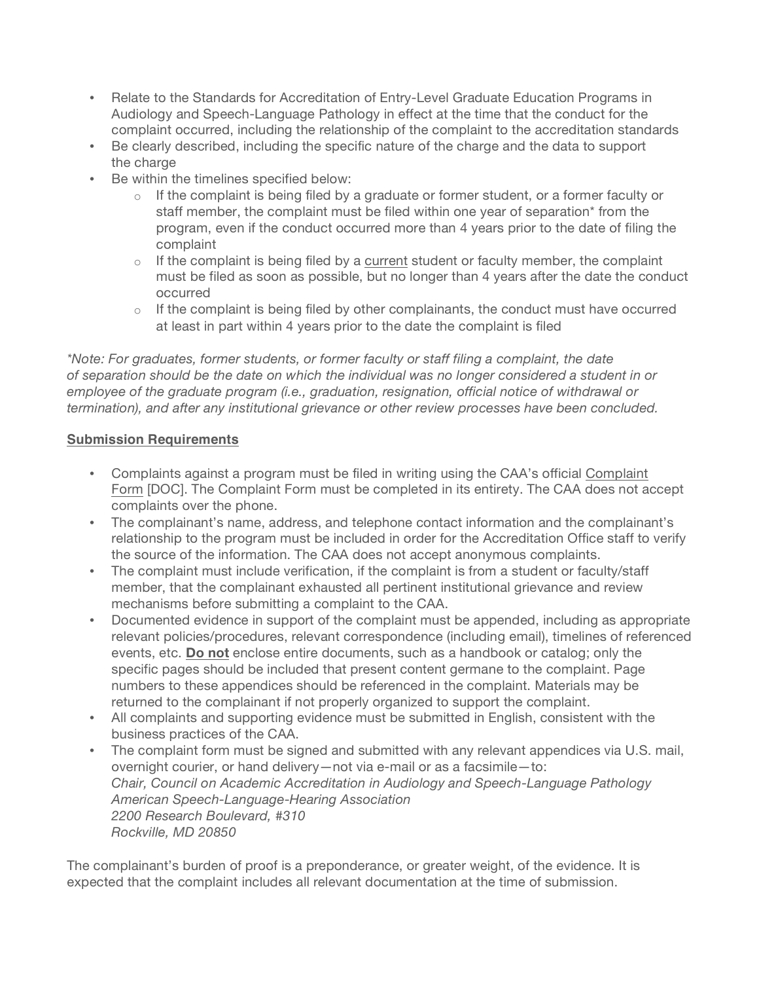- Relate to the Standards for Accreditation of Entry-Level Graduate Education Programs in Audiology and Speech-Language Pathology in effect at the time that the conduct for the complaint occurred, including the relationship of the complaint to the accreditation standards
- Be clearly described, including the specific nature of the charge and the data to support the charge
- Be within the timelines specified below:
	- $\circ$  If the complaint is being filed by a graduate or former student, or a former faculty or staff member, the complaint must be filed within one year of separation\* from the program, even if the conduct occurred more than 4 years prior to the date of filing the complaint
	- $\circ$  If the complaint is being filed by a current student or faculty member, the complaint must be filed as soon as possible, but no longer than 4 years after the date the conduct occurred
	- $\circ$  If the complaint is being filed by other complainants, the conduct must have occurred at least in part within 4 years prior to the date the complaint is filed

*\*Note: For graduates, former students, or former faculty or staff filing a complaint, the date of separation should be the date on which the individual was no longer considered a student in or employee of the graduate program (i.e., graduation, resignation, official notice of withdrawal or termination), and after any institutional grievance or other review processes have been concluded.*

#### **Submission Requirements**

- Complaints against a program must be filed in writing using the CAA's official Complaint Form [DOC]. The Complaint Form must be completed in its entirety. The CAA does not accept complaints over the phone.
- The complainant's name, address, and telephone contact information and the complainant's relationship to the program must be included in order for the Accreditation Office staff to verify the source of the information. The CAA does not accept anonymous complaints.
- The complaint must include verification, if the complaint is from a student or faculty/staff member, that the complainant exhausted all pertinent institutional grievance and review mechanisms before submitting a complaint to the CAA.
- Documented evidence in support of the complaint must be appended, including as appropriate relevant policies/procedures, relevant correspondence (including email), timelines of referenced events, etc. **Do not** enclose entire documents, such as a handbook or catalog; only the specific pages should be included that present content germane to the complaint. Page numbers to these appendices should be referenced in the complaint. Materials may be returned to the complainant if not properly organized to support the complaint.
- All complaints and supporting evidence must be submitted in English, consistent with the business practices of the CAA.
- The complaint form must be signed and submitted with any relevant appendices via U.S. mail, overnight courier, or hand delivery—not via e-mail or as a facsimile—to: *Chair, Council on Academic Accreditation in Audiology and Speech-Language Pathology American Speech-Language-Hearing Association 2200 Research Boulevard, #310 Rockville, MD 20850*

The complainant's burden of proof is a preponderance, or greater weight, of the evidence. It is expected that the complaint includes all relevant documentation at the time of submission.